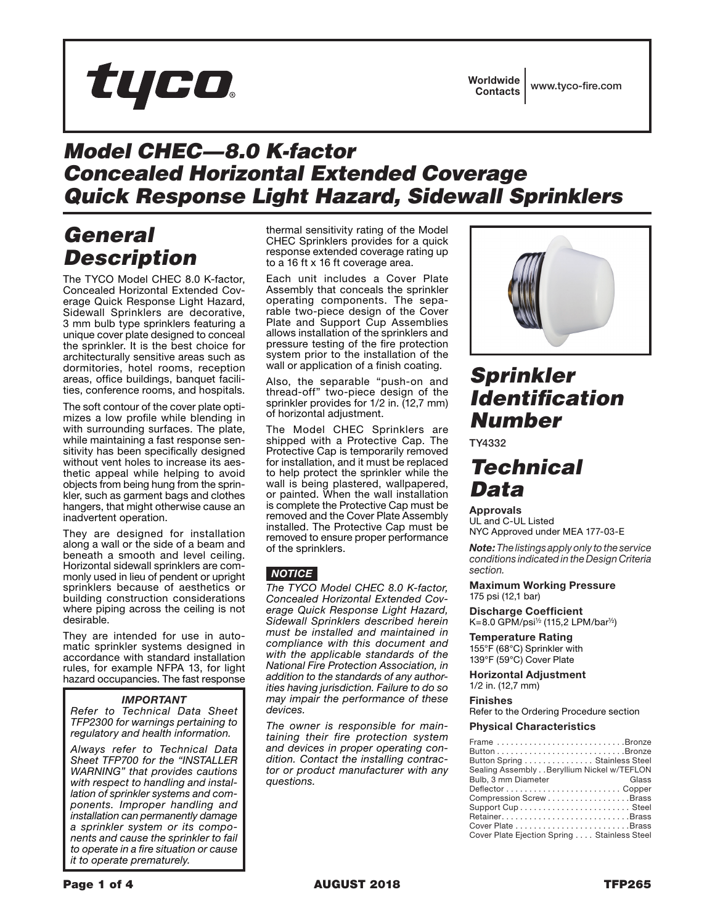

## *Model CHEC—8.0 K-factor Concealed Horizontal Extended Coverage Quick Response Light Hazard, Sidewall Sprinklers*

# *General Description*

The TYCO Model CHEC 8.0 K-factor, Concealed Horizontal Extended Coverage Quick Response Light Hazard, Sidewall Sprinklers are decorative, 3 mm bulb type sprinklers featuring a unique cover plate designed to conceal the sprinkler. It is the best choice for architecturally sensitive areas such as dormitories, hotel rooms, reception areas, office buildings, banquet facilities, conference rooms, and hospitals.

The soft contour of the cover plate optimizes a low profile while blending in with surrounding surfaces. The plate, while maintaining a fast response sensitivity has been specifically designed without vent holes to increase its aesthetic appeal while helping to avoid objects from being hung from the sprinkler, such as garment bags and clothes hangers, that might otherwise cause an inadvertent operation.

They are designed for installation along a wall or the side of a beam and beneath a smooth and level ceiling. Horizontal sidewall sprinklers are commonly used in lieu of pendent or upright sprinklers because of aesthetics or building construction considerations where piping across the ceiling is not desirable.

They are intended for use in automatic sprinkler systems designed in accordance with standard installation rules, for example NFPA 13, for light hazard occupancies. The fast response

### *IMPORTANT*

*Refer to Technical Data Sheet TFP2300 for warnings pertaining to regulatory and health information.*

*Always refer to Technical Data Sheet TFP700 for the "INSTALLER WARNING" that provides cautions with respect to handling and installation of sprinkler systems and components. Improper handling and installation can permanently damage a sprinkler system or its components and cause the sprinkler to fail to operate in a fire situation or cause it to operate prematurely.*

thermal sensitivity rating of the Model CHEC Sprinklers provides for a quick response extended coverage rating up to a 16 ft x 16 ft coverage area.

Each unit includes a Cover Plate Assembly that conceals the sprinkler operating components. The separable two-piece design of the Cover Plate and Support Cup Assemblies allows installation of the sprinklers and pressure testing of the fire protection system prior to the installation of the wall or application of a finish coating.

Also, the separable "push-on and thread-off" two-piece design of the sprinkler provides for 1/2 in. (12,7 mm) of horizontal adjustment.

The Model CHEC Sprinklers are shipped with a Protective Cap. The Protective Cap is temporarily removed for installation, and it must be replaced to help protect the sprinkler while the wall is being plastered, wallpapered, or painted. When the wall installation is complete the Protective Cap must be removed and the Cover Plate Assembly installed. The Protective Cap must be removed to ensure proper performance of the sprinklers.

### *NOTICE*

*The TYCO Model CHEC 8.0 K-factor, Concealed Horizontal Extended Coverage Quick Response Light Hazard, Sidewall Sprinklers described herein must be installed and maintained in compliance with this document and with the applicable standards of the National Fire Protection Association, in addition to the standards of any authorities having jurisdiction. Failure to do so may impair the performance of these devices.*

*The owner is responsible for maintaining their fire protection system and devices in proper operating condition. Contact the installing contractor or product manufacturer with any questions.*



# *Sprinkler Identification Number*

TY4332

## *Technical Data*

Approvals

UL and C-UL Listed NYC Approved under MEA 177-03-E

*Note: The listings apply only to the service conditions indicated in the Design Criteria section.*

Maximum Working Pressure 175 psi (12,1 bar)

Discharge Coefficient K=8.0 GPM/psi½ (115,2 LPM/bar½)

Temperature Rating 155°F (68°C) Sprinkler with 139°F (59°C) Cover Plate

Horizontal Adjustment 1/2 in. (12,7 mm)

#### Finishes

Refer to the Ordering Procedure section

#### Physical Characteristics

| Frame Bronze                                |
|---------------------------------------------|
|                                             |
| Button Spring  Stainless Steel              |
| Sealing Assembly Beryllium Nickel w/TEFLON  |
| Bulb, 3 mm Diameter<br>Glass                |
|                                             |
| Compression ScrewBrass                      |
|                                             |
| RetainerBrass                               |
|                                             |
| Cover Plate Ejection Spring Stainless Steel |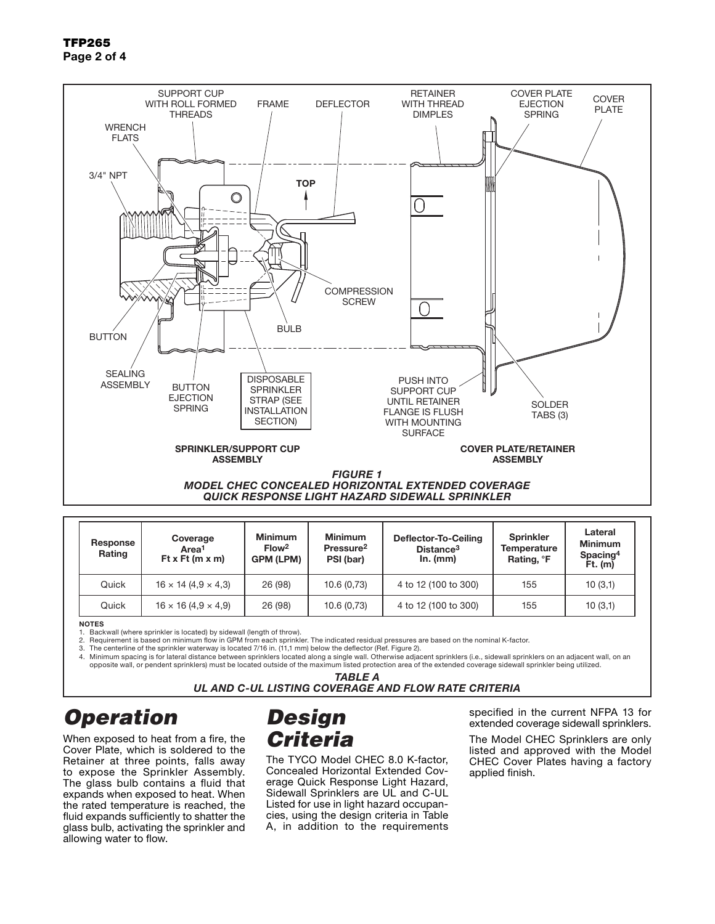TFP265 Page 2 of 4



| Response<br>Rating | Coverage<br>Area <sup>1</sup><br>Ft x Ft $(m x m)$ | <b>Minimum</b><br>Flow <sup>2</sup><br><b>GPM (LPM)</b> | <b>Minimum</b><br>Pressure <sup>2</sup><br>PSI (bar) | Deflector-To-Ceiling<br>Distance <sup>3</sup><br>In. (mm) | Sprinkler<br>Temperature<br>Rating, <sup>o</sup> F | Lateral<br><b>Minimum</b><br>Spacing <sup>4</sup><br>$Ft.$ (m) |
|--------------------|----------------------------------------------------|---------------------------------------------------------|------------------------------------------------------|-----------------------------------------------------------|----------------------------------------------------|----------------------------------------------------------------|
| Quick              | $16 \times 14 (4.9 \times 4.3)$                    | 26 (98)                                                 | 10.6(0.73)                                           | 4 to 12 (100 to 300)                                      | 155                                                | 10(3,1)                                                        |
| Quick              | $16 \times 16 (4.9 \times 4.9)$                    | 26 (98)                                                 | 10.6(0.73)                                           | 4 to 12 (100 to 300)                                      | 155                                                | 10(3,1)                                                        |

**NOTES** 

1. Backwall (where sprinkler is located) by sidewall (length of throw).<br>2. Requirement is based on minimum flow in GPM from each sprinkle

2. Requirement is based on minimum flow in GPM from each sprinkler. The indicated residual pressures are based on the nominal K-factor.

3. The centerline of the sprinkler waterway is located 7/16 in. (11,1 mm) below the deflector (Ref. Figure 2).

4. Minimum spacing is for lateral distance between sprinklers located along a single wall. Otherwise adjacent sprinklers (i.e., sidewall sprinklers on an adjacent wall, on an opposite wall, or pendent sprinklers) must be located outside of the maximum listed protection area of the extended coverage sidewall sprinkler being utilized.

*TABLE A*

*UL AND C-UL LISTING COVERAGE AND FLOW RATE CRITERIA*

# *Operation*

When exposed to heat from a fire, the Cover Plate, which is soldered to the Retainer at three points, falls away to expose the Sprinkler Assembly. The glass bulb contains a fluid that expands when exposed to heat. When the rated temperature is reached, the fluid expands sufficiently to shatter the glass bulb, activating the sprinkler and allowing water to flow.

# *Design Criteria*

The TYCO Model CHEC 8.0 K-factor, Concealed Horizontal Extended Coverage Quick Response Light Hazard, Sidewall Sprinklers are UL and C-UL Listed for use in light hazard occupancies, using the design criteria in Table A, in addition to the requirements specified in the current NFPA 13 for extended coverage sidewall sprinklers.

The Model CHEC Sprinklers are only listed and approved with the Model CHEC Cover Plates having a factory applied finish.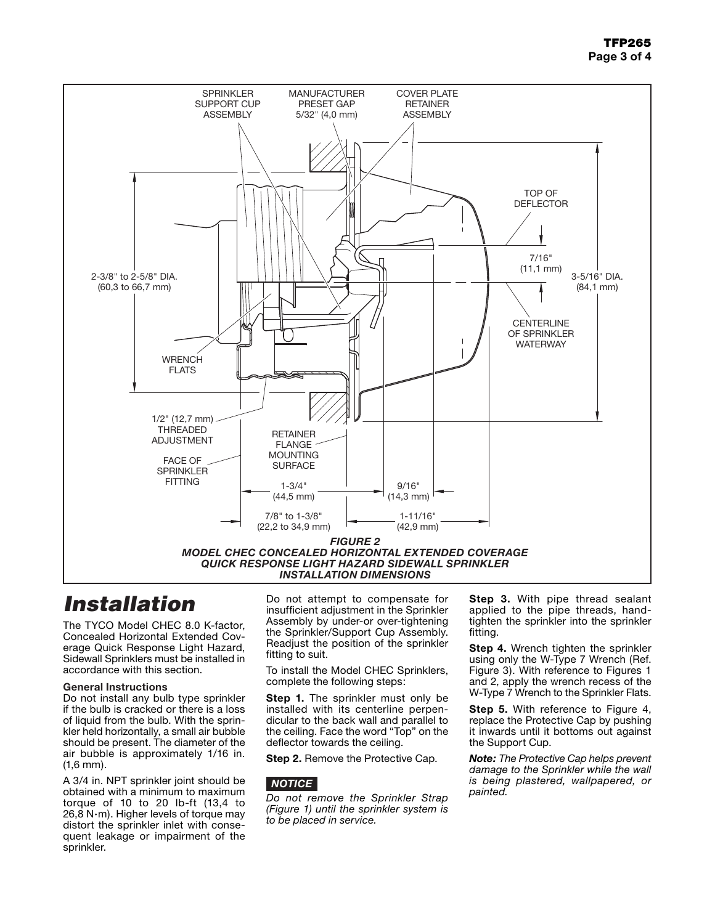### TFP265 Page 3 of 4



## *Installation*

The TYCO Model CHEC 8.0 K-factor, Concealed Horizontal Extended Coverage Quick Response Light Hazard, Sidewall Sprinklers must be installed in accordance with this section.

#### General Instructions

Do not install any bulb type sprinkler if the bulb is cracked or there is a loss of liquid from the bulb. With the sprinkler held horizontally, a small air bubble should be present. The diameter of the air bubble is approximately 1/16 in. (1,6 mm).

A 3/4 in. NPT sprinkler joint should be obtained with a minimum to maximum torque of 10 to 20 lb-ft (13,4 to 26,8 N·m). Higher levels of torque may distort the sprinkler inlet with consequent leakage or impairment of the sprinkler.

Do not attempt to compensate for insufficient adjustment in the Sprinkler Assembly by under-or over-tightening the Sprinkler/Support Cup Assembly. Readjust the position of the sprinkler fitting to suit.

To install the Model CHEC Sprinklers, complete the following steps:

Step 1. The sprinkler must only be installed with its centerline perpendicular to the back wall and parallel to the ceiling. Face the word "Top" on the deflector towards the ceiling.

Step 2. Remove the Protective Cap.

### *NOTICE*

*Do not remove the Sprinkler Strap (Figure 1) until the sprinkler system is to be placed in service.*

Step 3. With pipe thread sealant applied to the pipe threads, handtighten the sprinkler into the sprinkler fitting.

Step 4. Wrench tighten the sprinkler using only the W-Type 7 Wrench (Ref. Figure 3). With reference to Figures 1 and 2, apply the wrench recess of the W-Type 7 Wrench to the Sprinkler Flats.

Step 5. With reference to Figure 4, replace the Protective Cap by pushing it inwards until it bottoms out against the Support Cup.

*Note: The Protective Cap helps prevent damage to the Sprinkler while the wall is being plastered, wallpapered, or painted.*